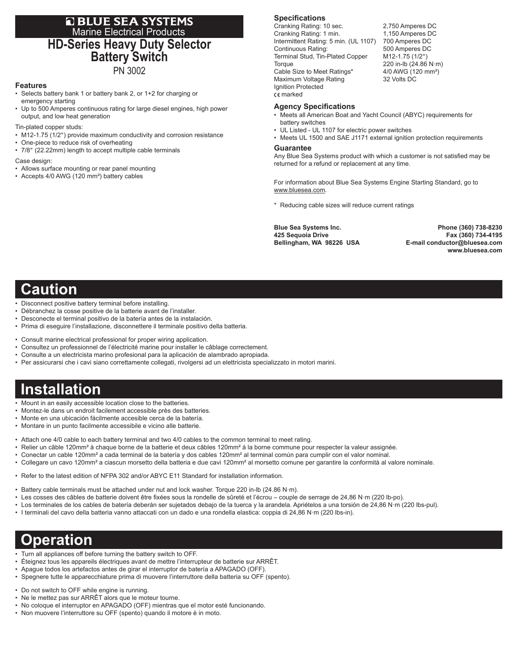### **E BLUE SEA SYSTEMS** Marine Electrical Products **HD-Series Heavy Duty Selector Battery Switch** PN 3002

#### **Features**

- Selects battery bank 1 or battery bank 2, or 1+2 for charging or emergency starting
- Up to 500 Amperes continuous rating for large diesel engines, high power output, and low heat generation

Tin-plated copper studs:

- M12-1.75 (1/2") provide maximum conductivity and corrosion resistance
- One-piece to reduce risk of overheating
- 7/8" (22.22mm) length to accept multiple cable terminals

#### Case design:

- Allows surface mounting or rear panel mounting
- Accepts 4/0 AWG (120 mm²) battery cables

### **Specifications**

Cranking Rating: 10 sec. 2,750 Amperes DC<br>Cranking Rating: 1 min. 1,150 Amperes DC Cranking Rating: 1 min. Intermittent Rating: 5 min. (UL 1107) 700 Amperes DC Continuous Rating: 500 Amperes DC Terminal Stud, Tin-Plated Copper M12-1.75 (1/2") Torque 220 in-lb (24.86 N·m)<br>Cable Size to Meet Ratings\* 4/0 AWG (120 mm<sup>2</sup>) Cable Size to Meet Ratings\* Maximum Voltage Rating 32 Volts DC Ignition Protected marked

#### **Agency Specifications**

- Meets all American Boat and Yacht Council (ABYC) requirements for battery switches
- UL Listed UL 1107 for electric power switches
- Meets UL 1500 and SAE J1171 external ignition protection requirements

#### **Guarantee**

Any Blue Sea Systems product with which a customer is not satisfied may be returned for a refund or replacement at any time.

For information about Blue Sea Systems Engine Starting Standard, go to www.bluesea.com.

\* Reducing cable sizes will reduce current ratings

**Blue Sea Systems Inc. Phone (360) 738-8230 425 Sequoia Drive Fax (360) 734-4195**  $E$ -mail conductor@bluesea.com  **www.bluesea.com**

## **Caution**

- Disconnect positive battery terminal before installing.
- Débranchez la cosse positive de la batterie avant de l'installer.
- Desconecte el terminal positivo de la batería antes de la instalación.
- Prima di eseguire l'installazione, disconnettere il terminale positivo della batteria.
- Consult marine electrical professional for proper wiring application.
- Consultez un professionnel de l'électricité marine pour installer le câblage correctement.
- Consulte a un electricista marino profesional para la aplicación de alambrado apropiada.
- Per assicurarsi che i cavi siano correttamente collegati, rivolgersi ad un elettricista specializzato in motori marini.

# **Installation**

- Mount in an easily accessible location close to the batteries.
- Montez-le dans un endroit facilement accessible près des batteries.
- Monte en una ubicación fácilmente accesible cerca de la batería.
- Montare in un punto facilmente accessibile e vicino alle batterie.
- Attach one 4/0 cable to each battery terminal and two 4/0 cables to the common terminal to meet rating.
- Relier un câble 120mm² à chaque borne de la batterie et deux câbles 120mm² à la borne commune pour respecter la valeur assignée.
- Conectar un cable 120mm² a cada terminal de la batería y dos cables 120mm² al terminal común para cumplir con el valor nominal.
- Collegare un cavo 120mm² a ciascun morsetto della batteria e due cavi 120mm² al morsetto comune per garantire la conformità al valore nominale.
- Refer to the latest edition of NFPA 302 and/or ABYC E11 Standard for installation information.
- Battery cable terminals must be attached under nut and lock washer. Torque 220 in-lb (24.86 N·m).
- Les cosses des câbles de batterie doivent être fixées sous la rondelle de sûreté et l'écrou couple de serrage de 24,86 N·m (220 lb-po).
- Los terminales de los cables de batería deberán ser sujetados debajo de la tuerca y la arandela. Apriételos a una torsión de 24,86 N·m (220 lbs-pul).
- I terminali del cavo della batteria vanno attaccati con un dado e una rondella elastica: coppia di 24,86 N·m (220 lbs-in).

## **Operation**

- Turn all appliances off before turning the battery switch to OFF.
- Éteignez tous les appareils électriques avant de mettre l'interrupteur de batterie sur ARRÊT.
- Apague todos los artefactos antes de girar el interruptor de batería a APAGADO (OFF).
- Spegnere tutte le apparecchiature prima di muovere l'interruttore della batteria su OFF (spento).
- Do not switch to OFF while engine is running.
- Ne le mettez pas sur ARRÊT alors que le moteur tourne.
- No coloque el interruptor en APAGADO (OFF) mientras que el motor esté funcionando.
- Non muovere l'interruttore su OFF (spento) quando il motore è in moto.